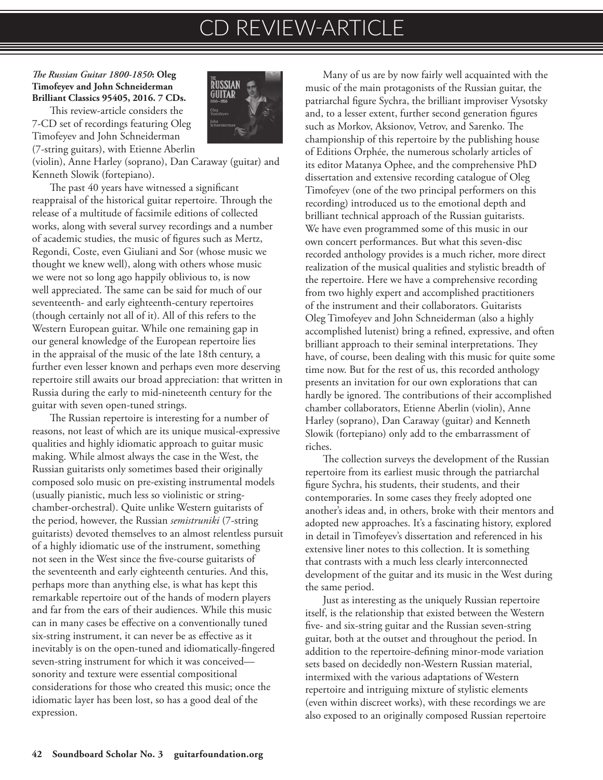## CD REVIEW-ARTICLE

## *The Russian Guitar 1800-1850***: Oleg Timofeyev and John Schneiderman Brilliant Classics 95405, 2016. 7 CDs.**

This review-article considers the 7-CD set of recordings featuring Oleg Timofeyev and John Schneiderman (7-string guitars), with Etienne Aberlin

(violin), Anne Harley (soprano), Dan Caraway (guitar) and Kenneth Slowik (fortepiano).

The past 40 years have witnessed a significant reappraisal of the historical guitar repertoire. Through the release of a multitude of facsimile editions of collected works, along with several survey recordings and a number of academic studies, the music of figures such as Mertz, Regondi, Coste, even Giuliani and Sor (whose music we thought we knew well), along with others whose music we were not so long ago happily oblivious to, is now well appreciated. The same can be said for much of our seventeenth- and early eighteenth-century repertoires (though certainly not all of it). All of this refers to the Western European guitar. While one remaining gap in our general knowledge of the European repertoire lies in the appraisal of the music of the late 18th century, a further even lesser known and perhaps even more deserving repertoire still awaits our broad appreciation: that written in Russia during the early to mid-nineteenth century for the guitar with seven open-tuned strings.

The Russian repertoire is interesting for a number of reasons, not least of which are its unique musical-expressive qualities and highly idiomatic approach to guitar music making. While almost always the case in the West, the Russian guitarists only sometimes based their originally composed solo music on pre-existing instrumental models (usually pianistic, much less so violinistic or stringchamber-orchestral). Quite unlike Western guitarists of the period, however, the Russian *semistruniki* (7-string guitarists) devoted themselves to an almost relentless pursuit of a highly idiomatic use of the instrument, something not seen in the West since the five-course guitarists of the seventeenth and early eighteenth centuries. And this, perhaps more than anything else, is what has kept this remarkable repertoire out of the hands of modern players and far from the ears of their audiences. While this music can in many cases be effective on a conventionally tuned six-string instrument, it can never be as effective as it inevitably is on the open-tuned and idiomatically-fingered seven-string instrument for which it was conceived sonority and texture were essential compositional considerations for those who created this music; once the idiomatic layer has been lost, so has a good deal of the expression.



Many of us are by now fairly well acquainted with the music of the main protagonists of the Russian guitar, the patriarchal figure Sychra, the brilliant improviser Vysotsky and, to a lesser extent, further second generation figures such as Morkov, Aksionov, Vetrov, and Sarenko. The championship of this repertoire by the publishing house of Editions Orphée, the numerous scholarly articles of its editor Matanya Ophee, and the comprehensive PhD dissertation and extensive recording catalogue of Oleg Timofeyev (one of the two principal performers on this recording) introduced us to the emotional depth and brilliant technical approach of the Russian guitarists. We have even programmed some of this music in our own concert performances. But what this seven-disc recorded anthology provides is a much richer, more direct realization of the musical qualities and stylistic breadth of the repertoire. Here we have a comprehensive recording from two highly expert and accomplished practitioners of the instrument and their collaborators. Guitarists Oleg Timofeyev and John Schneiderman (also a highly accomplished lutenist) bring a refined, expressive, and often brilliant approach to their seminal interpretations. They have, of course, been dealing with this music for quite some time now. But for the rest of us, this recorded anthology presents an invitation for our own explorations that can hardly be ignored. The contributions of their accomplished chamber collaborators, Etienne Aberlin (violin), Anne Harley (soprano), Dan Caraway (guitar) and Kenneth Slowik (fortepiano) only add to the embarrassment of riches.

The collection surveys the development of the Russian repertoire from its earliest music through the patriarchal figure Sychra, his students, their students, and their contemporaries. In some cases they freely adopted one another's ideas and, in others, broke with their mentors and adopted new approaches. It's a fascinating history, explored in detail in Timofeyev's dissertation and referenced in his extensive liner notes to this collection. It is something that contrasts with a much less clearly interconnected development of the guitar and its music in the West during the same period.

Just as interesting as the uniquely Russian repertoire itself, is the relationship that existed between the Western five- and six-string guitar and the Russian seven-string guitar, both at the outset and throughout the period. In addition to the repertoire-defining minor-mode variation sets based on decidedly non-Western Russian material, intermixed with the various adaptations of Western repertoire and intriguing mixture of stylistic elements (even within discreet works), with these recordings we are also exposed to an originally composed Russian repertoire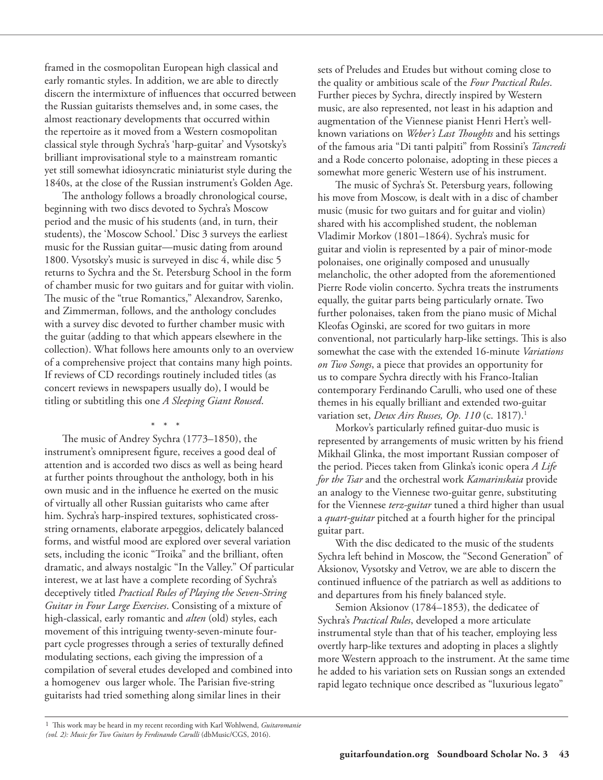framed in the cosmopolitan European high classical and early romantic styles. In addition, we are able to directly discern the intermixture of influences that occurred between the Russian guitarists themselves and, in some cases, the almost reactionary developments that occurred within the repertoire as it moved from a Western cosmopolitan classical style through Sychra's 'harp-guitar' and Vysotsky's brilliant improvisational style to a mainstream romantic yet still somewhat idiosyncratic miniaturist style during the 1840s, at the close of the Russian instrument's Golden Age.

The anthology follows a broadly chronological course, beginning with two discs devoted to Sychra's Moscow period and the music of his students (and, in turn, their students), the 'Moscow School.' Disc 3 surveys the earliest music for the Russian guitar—music dating from around 1800. Vysotsky's music is surveyed in disc 4, while disc 5 returns to Sychra and the St. Petersburg School in the form of chamber music for two guitars and for guitar with violin. The music of the "true Romantics," Alexandrov, Sarenko, and Zimmerman, follows, and the anthology concludes with a survey disc devoted to further chamber music with the guitar (adding to that which appears elsewhere in the collection). What follows here amounts only to an overview of a comprehensive project that contains many high points. If reviews of CD recordings routinely included titles (as concert reviews in newspapers usually do), I would be titling or subtitling this one *A Sleeping Giant Roused*.

 \* \* \* The music of Andrey Sychra (1773–1850), the instrument's omnipresent figure, receives a good deal of attention and is accorded two discs as well as being heard at further points throughout the anthology, both in his own music and in the influence he exerted on the music of virtually all other Russian guitarists who came after him. Sychra's harp-inspired textures, sophisticated crossstring ornaments, elaborate arpeggios, delicately balanced forms, and wistful mood are explored over several variation sets, including the iconic "Troika" and the brilliant, often dramatic, and always nostalgic "In the Valley." Of particular interest, we at last have a complete recording of Sychra's deceptively titled *Practical Rules of Playing the Seven-String Guitar in Four Large Exercises*. Consisting of a mixture of high-classical, early romantic and *alten* (old) styles, each movement of this intriguing twenty-seven-minute fourpart cycle progresses through a series of texturally defined modulating sections, each giving the impression of a compilation of several etudes developed and combined into a homogenev ous larger whole. The Parisian five-string guitarists had tried something along similar lines in their

sets of Preludes and Etudes but without coming close to the quality or ambitious scale of the *Four Practical Rules*. Further pieces by Sychra, directly inspired by Western music, are also represented, not least in his adaption and augmentation of the Viennese pianist Henri Hert's wellknown variations on *Weber's Last Thoughts* and his settings of the famous aria "Di tanti palpiti" from Rossini's *Tancredi* and a Rode concerto polonaise, adopting in these pieces a somewhat more generic Western use of his instrument.

The music of Sychra's St. Petersburg years, following his move from Moscow, is dealt with in a disc of chamber music (music for two guitars and for guitar and violin) shared with his accomplished student, the nobleman Vladimir Morkov (1801–1864). Sychra's music for guitar and violin is represented by a pair of minor-mode polonaises, one originally composed and unusually melancholic, the other adopted from the aforementioned Pierre Rode violin concerto. Sychra treats the instruments equally, the guitar parts being particularly ornate. Two further polonaises, taken from the piano music of Michal Kleofas Oginski, are scored for two guitars in more conventional, not particularly harp-like settings. This is also somewhat the case with the extended 16-minute *Variations on Two Songs*, a piece that provides an opportunity for us to compare Sychra directly with his Franco-Italian contemporary Ferdinando Carulli, who used one of these themes in his equally brilliant and extended two-guitar variation set, *Deux Airs Russes, Op. 110* (c. 1817).1

Morkov's particularly refined guitar-duo music is represented by arrangements of music written by his friend Mikhail Glinka, the most important Russian composer of the period. Pieces taken from Glinka's iconic opera *A Life for the Tsar* and the orchestral work *Kamarinskaia* provide an analogy to the Viennese two-guitar genre, substituting for the Viennese *terz-guitar* tuned a third higher than usual a *quart-guitar* pitched at a fourth higher for the principal guitar part.

With the disc dedicated to the music of the students Sychra left behind in Moscow, the "Second Generation" of Aksionov, Vysotsky and Vetrov, we are able to discern the continued influence of the patriarch as well as additions to and departures from his finely balanced style.

Semion Aksionov (1784–1853), the dedicatee of Sychra's *Practical Rules*, developed a more articulate instrumental style than that of his teacher, employing less overtly harp-like textures and adopting in places a slightly more Western approach to the instrument. At the same time he added to his variation sets on Russian songs an extended rapid legato technique once described as "luxurious legato"

<sup>1</sup> This work may be heard in my recent recording with Karl Wohlwend, *Guitaromanie (vol. 2): Music for Two Guitars by Ferdinando Carulli* (dbMusic/CGS, 2016).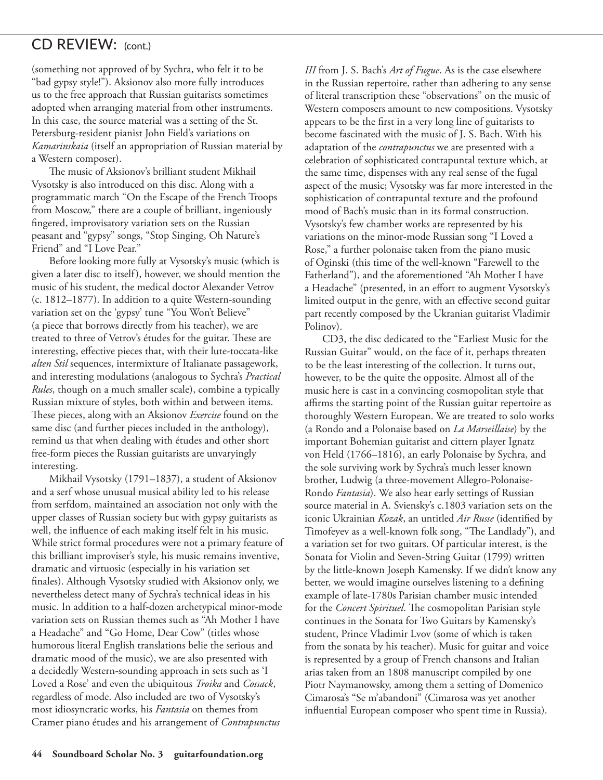## CD REVIEW:(cont.)

(something not approved of by Sychra, who felt it to be "bad gypsy style!"). Aksionov also more fully introduces us to the free approach that Russian guitarists sometimes adopted when arranging material from other instruments. In this case, the source material was a setting of the St. Petersburg-resident pianist John Field's variations on *Kamarinskaia* (itself an appropriation of Russian material by a Western composer).

The music of Aksionov's brilliant student Mikhail Vysotsky is also introduced on this disc. Along with a programmatic march "On the Escape of the French Troops from Moscow," there are a couple of brilliant, ingeniously fingered, improvisatory variation sets on the Russian peasant and "gypsy" songs, "Stop Singing, Oh Nature's Friend" and "I Love Pear."

Before looking more fully at Vysotsky's music (which is given a later disc to itself), however, we should mention the music of his student, the medical doctor Alexander Vetrov (c. 1812–1877). In addition to a quite Western-sounding variation set on the 'gypsy' tune "You Won't Believe" (a piece that borrows directly from his teacher), we are treated to three of Vetrov's études for the guitar. These are interesting, effective pieces that, with their lute-toccata-like *alten Stil* sequences, intermixture of Italianate passagework, and interesting modulations (analogous to Sychra's *Practical Rules*, though on a much smaller scale), combine a typically Russian mixture of styles, both within and between items. These pieces, along with an Aksionov *Exercise* found on the same disc (and further pieces included in the anthology), remind us that when dealing with études and other short free-form pieces the Russian guitarists are unvaryingly interesting.

Mikhail Vysotsky (1791–1837), a student of Aksionov and a serf whose unusual musical ability led to his release from serfdom, maintained an association not only with the upper classes of Russian society but with gypsy guitarists as well, the influence of each making itself felt in his music. While strict formal procedures were not a primary feature of this brilliant improviser's style, his music remains inventive, dramatic and virtuosic (especially in his variation set finales). Although Vysotsky studied with Aksionov only, we nevertheless detect many of Sychra's technical ideas in his music. In addition to a half-dozen archetypical minor-mode variation sets on Russian themes such as "Ah Mother I have a Headache" and "Go Home, Dear Cow" (titles whose humorous literal English translations belie the serious and dramatic mood of the music), we are also presented with a decidedly Western-sounding approach in sets such as 'I Loved a Rose' and even the ubiquitous *Troika* and *Cossack*, regardless of mode. Also included are two of Vysotsky's most idiosyncratic works, his *Fantasia* on themes from Cramer piano études and his arrangement of *Contrapunctus* 

*III* from J. S. Bach's *Art of Fugue*. As is the case elsewhere in the Russian repertoire, rather than adhering to any sense of literal transcription these "observations" on the music of Western composers amount to new compositions. Vysotsky appears to be the first in a very long line of guitarists to become fascinated with the music of J. S. Bach. With his adaptation of the *contrapunctus* we are presented with a celebration of sophisticated contrapuntal texture which, at the same time, dispenses with any real sense of the fugal aspect of the music; Vysotsky was far more interested in the sophistication of contrapuntal texture and the profound mood of Bach's music than in its formal construction. Vysotsky's few chamber works are represented by his variations on the minor-mode Russian song "I Loved a Rose," a further polonaise taken from the piano music of Oginski (this time of the well-known "Farewell to the Fatherland"), and the aforementioned "Ah Mother I have a Headache" (presented, in an effort to augment Vysotsky's limited output in the genre, with an effective second guitar part recently composed by the Ukranian guitarist Vladimir Polinov).

CD3, the disc dedicated to the "Earliest Music for the Russian Guitar" would, on the face of it, perhaps threaten to be the least interesting of the collection. It turns out, however, to be the quite the opposite. Almost all of the music here is cast in a convincing cosmopolitan style that affirms the starting point of the Russian guitar repertoire as thoroughly Western European. We are treated to solo works (a Rondo and a Polonaise based on *La Marseillaise*) by the important Bohemian guitarist and cittern player Ignatz von Held (1766–1816), an early Polonaise by Sychra, and the sole surviving work by Sychra's much lesser known brother, Ludwig (a three-movement Allegro-Polonaise-Rondo *Fantasia*). We also hear early settings of Russian source material in A. Sviensky's c.1803 variation sets on the iconic Ukrainian *Kozak*, an untitled *Air Russe* (identified by Timofeyev as a well-known folk song, "The Landlady"), and a variation set for two guitars. Of particular interest, is the Sonata for Violin and Seven-String Guitar (1799) written by the little-known Joseph Kamensky. If we didn't know any better, we would imagine ourselves listening to a defining example of late-1780s Parisian chamber music intended for the *Concert Spirituel*. The cosmopolitan Parisian style continues in the Sonata for Two Guitars by Kamensky's student, Prince Vladimir Lvov (some of which is taken from the sonata by his teacher). Music for guitar and voice is represented by a group of French chansons and Italian arias taken from an 1808 manuscript compiled by one Piotr Naymanowsky, among them a setting of Domenico Cimarosa's "Se m'abandoni" (Cimarosa was yet another influential European composer who spent time in Russia).